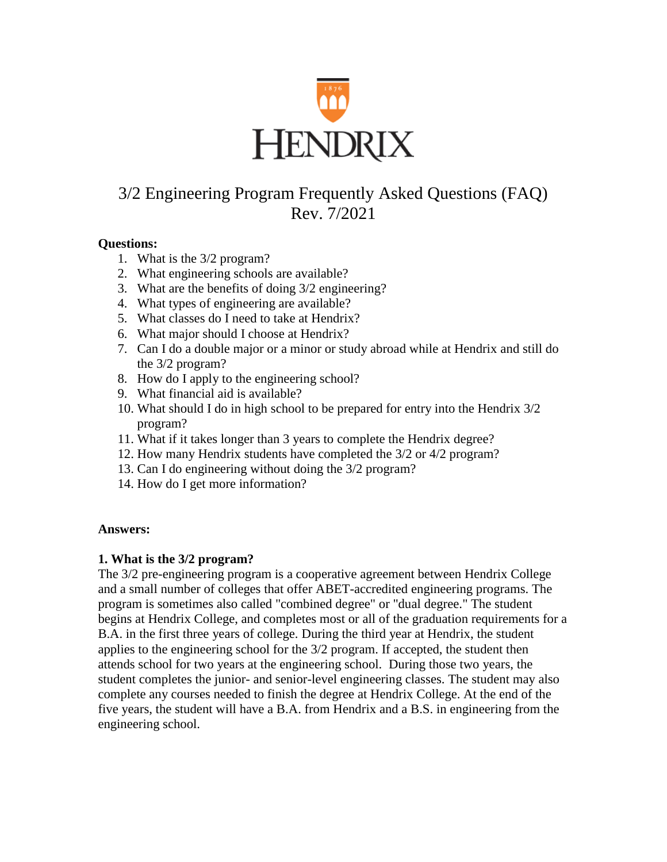

# 3/2 Engineering Program Frequently Asked Questions (FAQ) Rev. 7/2021

#### **Questions:**

- 1. What is the 3/2 program?
- 2. What engineering schools are available?
- 3. What are the benefits of doing 3/2 engineering?
- 4. What types of engineering are available?
- 5. What classes do I need to take at Hendrix?
- 6. What major should I choose at Hendrix?
- 7. Can I do a double major or a minor or study abroad while at Hendrix and still do the 3/2 program?
- 8. How do I apply to the engineering school?
- 9. What financial aid is available?
- 10. What should I do in high school to be prepared for entry into the Hendrix 3/2 program?
- 11. What if it takes longer than 3 years to complete the Hendrix degree?
- 12. How many Hendrix students have completed the 3/2 or 4/2 program?
- 13. Can I do engineering without doing the 3/2 program?
- 14. How do I get more information?

#### **Answers:**

#### **1. What is the 3/2 program?**

The 3/2 pre-engineering program is a cooperative agreement between Hendrix College and a small number of colleges that offer ABET-accredited engineering programs. The program is sometimes also called "combined degree" or "dual degree." The student begins at Hendrix College, and completes most or all of the graduation requirements for a B.A. in the first three years of college. During the third year at Hendrix, the student applies to the engineering school for the 3/2 program. If accepted, the student then attends school for two years at the engineering school. During those two years, the student completes the junior- and senior-level engineering classes. The student may also complete any courses needed to finish the degree at Hendrix College. At the end of the five years, the student will have a B.A. from Hendrix and a B.S. in engineering from the engineering school.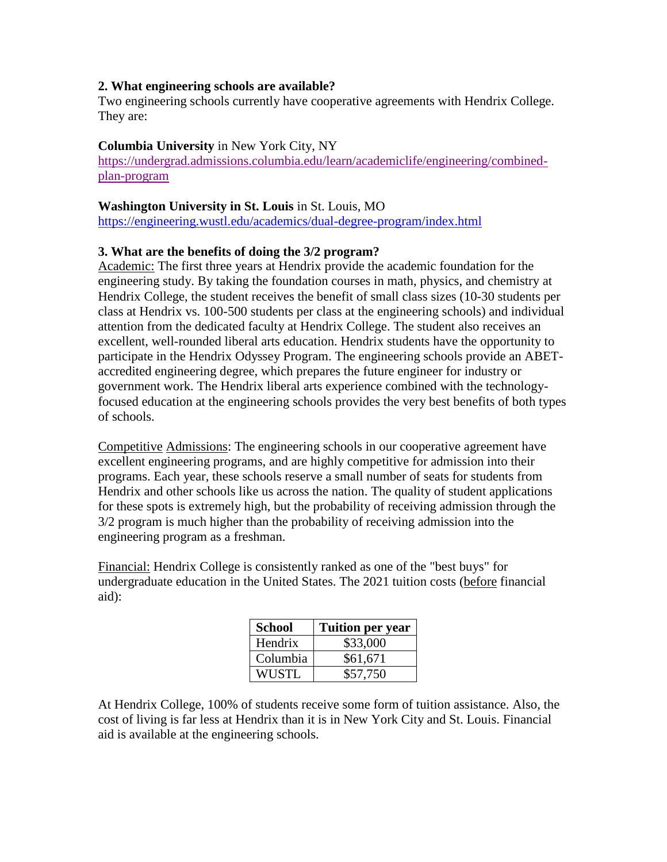## **2. What engineering schools are available?**

Two engineering schools currently have cooperative agreements with Hendrix College. They are:

#### **Columbia University** in New York City, NY

[https://undergrad.admissions.columbia.edu/learn/academiclife/engineering/combined](https://undergrad.admissions.columbia.edu/learn/academiclife/engineering/combined-plan-program)[plan-program](https://undergrad.admissions.columbia.edu/learn/academiclife/engineering/combined-plan-program)

#### **Washington University in St. Louis** in St. Louis, MO

<https://engineering.wustl.edu/academics/dual-degree-program/index.html>

# **3. What are the benefits of doing the 3/2 program?**

Academic: The first three years at Hendrix provide the academic foundation for the engineering study. By taking the foundation courses in math, physics, and chemistry at Hendrix College, the student receives the benefit of small class sizes (10-30 students per class at Hendrix vs. 100-500 students per class at the engineering schools) and individual attention from the dedicated faculty at Hendrix College. The student also receives an excellent, well-rounded liberal arts education. Hendrix students have the opportunity to participate in the Hendrix Odyssey Program. The engineering schools provide an ABETaccredited engineering degree, which prepares the future engineer for industry or government work. The Hendrix liberal arts experience combined with the technologyfocused education at the engineering schools provides the very best benefits of both types of schools.

Competitive Admissions: The engineering schools in our cooperative agreement have excellent engineering programs, and are highly competitive for admission into their programs. Each year, these schools reserve a small number of seats for students from Hendrix and other schools like us across the nation. The quality of student applications for these spots is extremely high, but the probability of receiving admission through the 3/2 program is much higher than the probability of receiving admission into the engineering program as a freshman.

Financial: Hendrix College is consistently ranked as one of the "best buys" for undergraduate education in the United States. The 2021 tuition costs (before financial aid):

| <b>School</b> | <b>Tuition per year</b> |
|---------------|-------------------------|
| Hendrix       | \$33,000                |
| Columbia      | \$61,671                |
| WUSTL         | \$57,750                |

At Hendrix College, 100% of students receive some form of tuition assistance. Also, the cost of living is far less at Hendrix than it is in New York City and St. Louis. Financial aid is available at the engineering schools.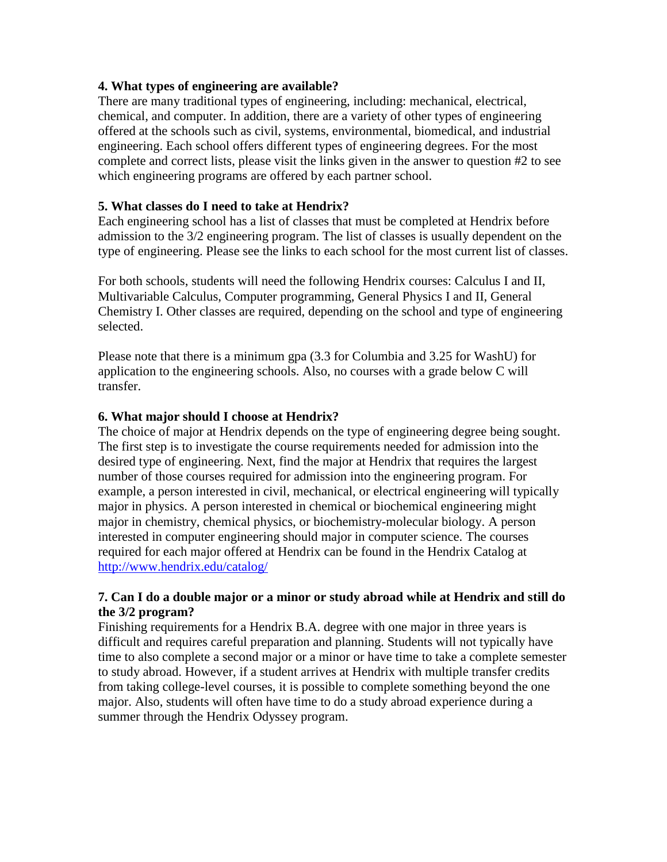#### **4. What types of engineering are available?**

There are many traditional types of engineering, including: mechanical, electrical, chemical, and computer. In addition, there are a variety of other types of engineering offered at the schools such as civil, systems, environmental, biomedical, and industrial engineering. Each school offers different types of engineering degrees. For the most complete and correct lists, please visit the links given in the answer to question #2 to see which engineering programs are offered by each partner school.

## **5. What classes do I need to take at Hendrix?**

Each engineering school has a list of classes that must be completed at Hendrix before admission to the 3/2 engineering program. The list of classes is usually dependent on the type of engineering. Please see the links to each school for the most current list of classes.

For both schools, students will need the following Hendrix courses: Calculus I and II, Multivariable Calculus, Computer programming, General Physics I and II, General Chemistry I. Other classes are required, depending on the school and type of engineering selected.

Please note that there is a minimum gpa (3.3 for Columbia and 3.25 for WashU) for application to the engineering schools. Also, no courses with a grade below C will transfer.

## **6. What major should I choose at Hendrix?**

The choice of major at Hendrix depends on the type of engineering degree being sought. The first step is to investigate the course requirements needed for admission into the desired type of engineering. Next, find the major at Hendrix that requires the largest number of those courses required for admission into the engineering program. For example, a person interested in civil, mechanical, or electrical engineering will typically major in physics. A person interested in chemical or biochemical engineering might major in chemistry, chemical physics, or biochemistry-molecular biology. A person interested in computer engineering should major in computer science. The courses required for each major offered at Hendrix can be found in the Hendrix Catalog at <http://www.hendrix.edu/catalog/>

## **7. Can I do a double major or a minor or study abroad while at Hendrix and still do the 3/2 program?**

Finishing requirements for a Hendrix B.A. degree with one major in three years is difficult and requires careful preparation and planning. Students will not typically have time to also complete a second major or a minor or have time to take a complete semester to study abroad. However, if a student arrives at Hendrix with multiple transfer credits from taking college-level courses, it is possible to complete something beyond the one major. Also, students will often have time to do a study abroad experience during a summer through the Hendrix Odyssey program.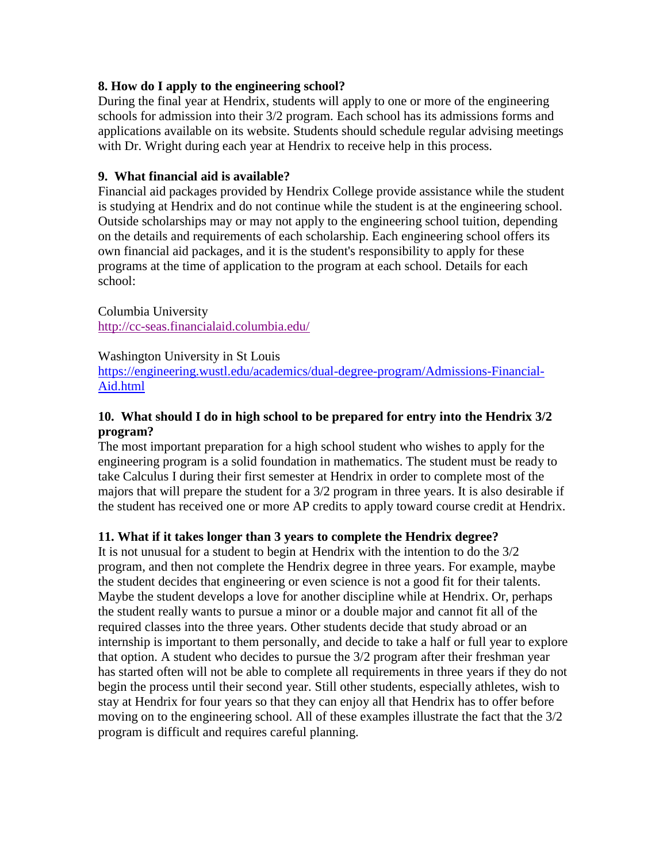## **8. How do I apply to the engineering school?**

During the final year at Hendrix, students will apply to one or more of the engineering schools for admission into their 3/2 program. Each school has its admissions forms and applications available on its website. Students should schedule regular advising meetings with Dr. Wright during each year at Hendrix to receive help in this process.

## **9. What financial aid is available?**

Financial aid packages provided by Hendrix College provide assistance while the student is studying at Hendrix and do not continue while the student is at the engineering school. Outside scholarships may or may not apply to the engineering school tuition, depending on the details and requirements of each scholarship. Each engineering school offers its own financial aid packages, and it is the student's responsibility to apply for these programs at the time of application to the program at each school. Details for each school:

Columbia University <http://cc-seas.financialaid.columbia.edu/>

#### Washington University in St Louis

[https://engineering.wustl.edu/academics/dual-degree-program/Admissions-Financial-](https://engineering.wustl.edu/academics/dual-degree-program/Admissions-Financial-Aid.html)[Aid.html](https://engineering.wustl.edu/academics/dual-degree-program/Admissions-Financial-Aid.html)

# **10. What should I do in high school to be prepared for entry into the Hendrix 3/2 program?**

The most important preparation for a high school student who wishes to apply for the engineering program is a solid foundation in mathematics. The student must be ready to take Calculus I during their first semester at Hendrix in order to complete most of the majors that will prepare the student for a 3/2 program in three years. It is also desirable if the student has received one or more AP credits to apply toward course credit at Hendrix.

# **11. What if it takes longer than 3 years to complete the Hendrix degree?**

It is not unusual for a student to begin at Hendrix with the intention to do the 3/2 program, and then not complete the Hendrix degree in three years. For example, maybe the student decides that engineering or even science is not a good fit for their talents. Maybe the student develops a love for another discipline while at Hendrix. Or, perhaps the student really wants to pursue a minor or a double major and cannot fit all of the required classes into the three years. Other students decide that study abroad or an internship is important to them personally, and decide to take a half or full year to explore that option. A student who decides to pursue the 3/2 program after their freshman year has started often will not be able to complete all requirements in three years if they do not begin the process until their second year. Still other students, especially athletes, wish to stay at Hendrix for four years so that they can enjoy all that Hendrix has to offer before moving on to the engineering school. All of these examples illustrate the fact that the 3/2 program is difficult and requires careful planning.